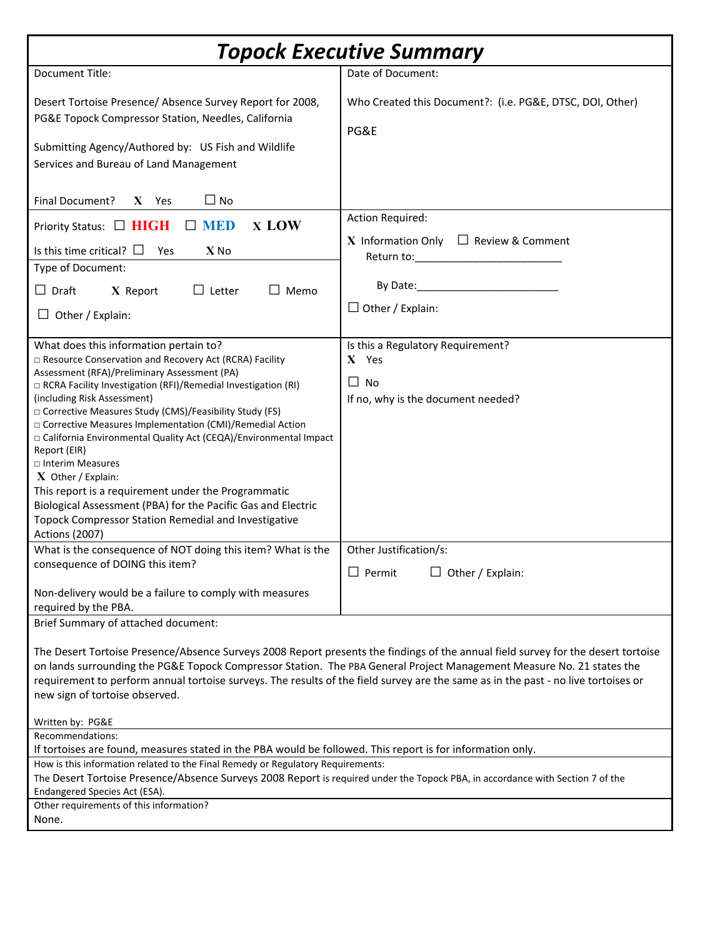| <b>Topock Executive Summary</b>                                                                                                                                                                                                                                                                                                                                                                                                                                                                                                                                                                                                                                                                                     |                                                                                                                                                |
|---------------------------------------------------------------------------------------------------------------------------------------------------------------------------------------------------------------------------------------------------------------------------------------------------------------------------------------------------------------------------------------------------------------------------------------------------------------------------------------------------------------------------------------------------------------------------------------------------------------------------------------------------------------------------------------------------------------------|------------------------------------------------------------------------------------------------------------------------------------------------|
| <b>Document Title:</b>                                                                                                                                                                                                                                                                                                                                                                                                                                                                                                                                                                                                                                                                                              | Date of Document:                                                                                                                              |
| Desert Tortoise Presence/ Absence Survey Report for 2008,<br>PG&E Topock Compressor Station, Needles, California<br>Submitting Agency/Authored by: US Fish and Wildlife<br>Services and Bureau of Land Management                                                                                                                                                                                                                                                                                                                                                                                                                                                                                                   | Who Created this Document?: (i.e. PG&E, DTSC, DOI, Other)<br>PG&E                                                                              |
| $\Box$ No<br>Final Document?<br>$X$ Yes                                                                                                                                                                                                                                                                                                                                                                                                                                                                                                                                                                                                                                                                             |                                                                                                                                                |
| <b>x LOW</b><br><b>MED</b><br>Priority Status: □ HIGH<br>Is this time critical? $\square$<br>$X$ No<br>Yes<br>Type of Document:<br>$\Box$ Draft<br>$\Box$ Letter<br>$\Box$ Memo<br>X Report<br>$\Box$ Other / Explain:                                                                                                                                                                                                                                                                                                                                                                                                                                                                                              | <b>Action Required:</b><br><b>X</b> Information Only $\Box$ Review & Comment<br>Return to: <u>_________________</u><br>$\Box$ Other / Explain: |
| What does this information pertain to?<br>□ Resource Conservation and Recovery Act (RCRA) Facility<br>Assessment (RFA)/Preliminary Assessment (PA)<br>□ RCRA Facility Investigation (RFI)/Remedial Investigation (RI)<br>(including Risk Assessment)<br>□ Corrective Measures Study (CMS)/Feasibility Study (FS)<br>□ Corrective Measures Implementation (CMI)/Remedial Action<br>□ California Environmental Quality Act (CEQA)/Environmental Impact<br>Report (EIR)<br>□ Interim Measures<br>$X$ Other / Explain:<br>This report is a requirement under the Programmatic<br>Biological Assessment (PBA) for the Pacific Gas and Electric<br>Topock Compressor Station Remedial and Investigative<br>Actions (2007) | Is this a Regulatory Requirement?<br>X Yes<br>$\Box$ No<br>If no, why is the document needed?                                                  |
| What is the consequence of NOT doing this item? What is the<br>consequence of DOING this item?<br>Non-delivery would be a failure to comply with measures                                                                                                                                                                                                                                                                                                                                                                                                                                                                                                                                                           | Other Justification/s:<br>$\Box$ Permit<br>$\Box$ Other / Explain:                                                                             |
| required by the PBA.<br>Brief Summary of attached document:                                                                                                                                                                                                                                                                                                                                                                                                                                                                                                                                                                                                                                                         |                                                                                                                                                |
| The Desert Tortoise Presence/Absence Surveys 2008 Report presents the findings of the annual field survey for the desert tortoise<br>on lands surrounding the PG&E Topock Compressor Station. The PBA General Project Management Measure No. 21 states the<br>requirement to perform annual tortoise surveys. The results of the field survey are the same as in the past - no live tortoises or<br>new sign of tortoise observed.                                                                                                                                                                                                                                                                                  |                                                                                                                                                |
| Written by: PG&E<br>Recommendations:                                                                                                                                                                                                                                                                                                                                                                                                                                                                                                                                                                                                                                                                                |                                                                                                                                                |
| If tortoises are found, measures stated in the PBA would be followed. This report is for information only.<br>How is this information related to the Final Remedy or Regulatory Requirements:<br>The Desert Tortoise Presence/Absence Surveys 2008 Report is required under the Topock PBA, in accordance with Section 7 of the<br>Endangered Species Act (ESA).                                                                                                                                                                                                                                                                                                                                                    |                                                                                                                                                |
| Other requirements of this information?<br>None.                                                                                                                                                                                                                                                                                                                                                                                                                                                                                                                                                                                                                                                                    |                                                                                                                                                |